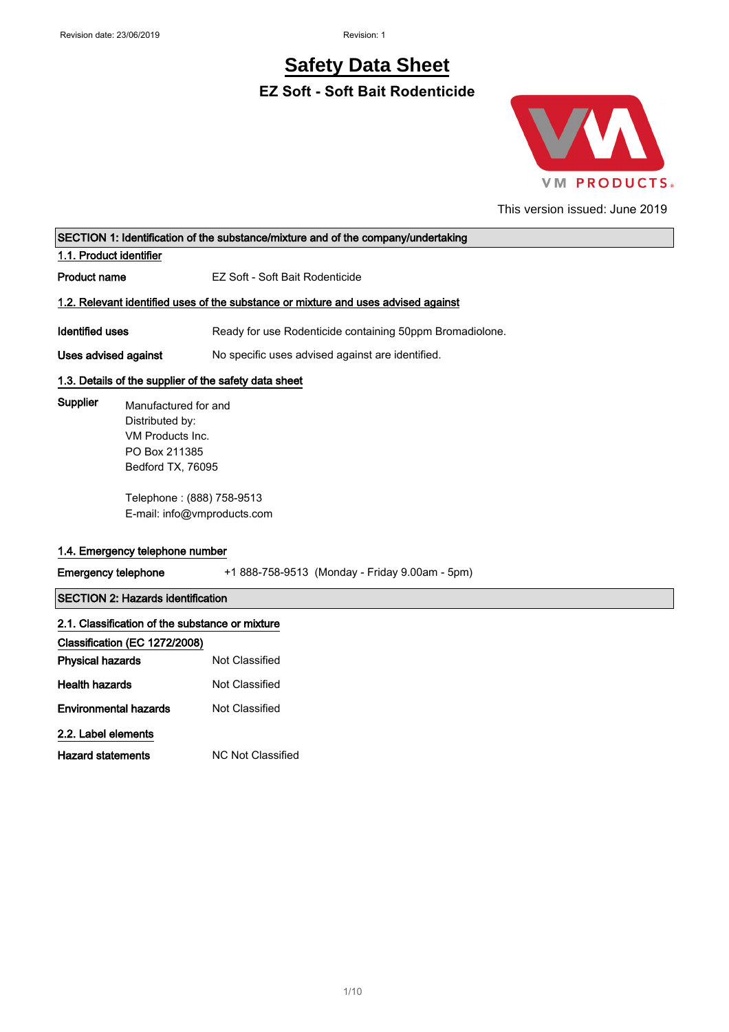# **Safety Data Sheet**

**EZ Soft - Soft Bait Rodenticide**



This version issued: June 2019

|                                                                                                                                                  | SECTION 1: Identification of the substance/mixture and of the company/undertaking |  |
|--------------------------------------------------------------------------------------------------------------------------------------------------|-----------------------------------------------------------------------------------|--|
| 1.1. Product identifier                                                                                                                          |                                                                                   |  |
| <b>Product name</b>                                                                                                                              | EZ Soft - Soft Bait Rodenticide                                                   |  |
| 1.2. Relevant identified uses of the substance or mixture and uses advised against                                                               |                                                                                   |  |
| <b>Identified uses</b>                                                                                                                           | Ready for use Rodenticide containing 50ppm Bromadiolone.                          |  |
| Uses advised against                                                                                                                             | No specific uses advised against are identified.                                  |  |
|                                                                                                                                                  | 1.3. Details of the supplier of the safety data sheet                             |  |
| Supplier<br>Manufactured for and<br>Distributed by:<br>VM Products Inc.<br>PO Box 211385<br>Bedford TX, 76095<br>1.4. Emergency telephone number | Telephone: (888) 758-9513<br>E-mail: info@vmproducts.com                          |  |
| <b>Emergency telephone</b>                                                                                                                       | +1 888-758-9513 (Monday - Friday 9.00am - 5pm)                                    |  |
| <b>SECTION 2: Hazards identification</b>                                                                                                         |                                                                                   |  |
| 2.1. Classification of the substance or mixture                                                                                                  |                                                                                   |  |
| Classification (EC 1272/2008)                                                                                                                    |                                                                                   |  |
| <b>Physical hazards</b>                                                                                                                          | Not Classified                                                                    |  |
| <b>Health hazards</b>                                                                                                                            | Not Classified                                                                    |  |
| <b>Environmental hazards</b>                                                                                                                     | Not Classified                                                                    |  |
| 2.2. Label elements                                                                                                                              |                                                                                   |  |
| <b>Hazard statements</b>                                                                                                                         | <b>NC Not Classified</b>                                                          |  |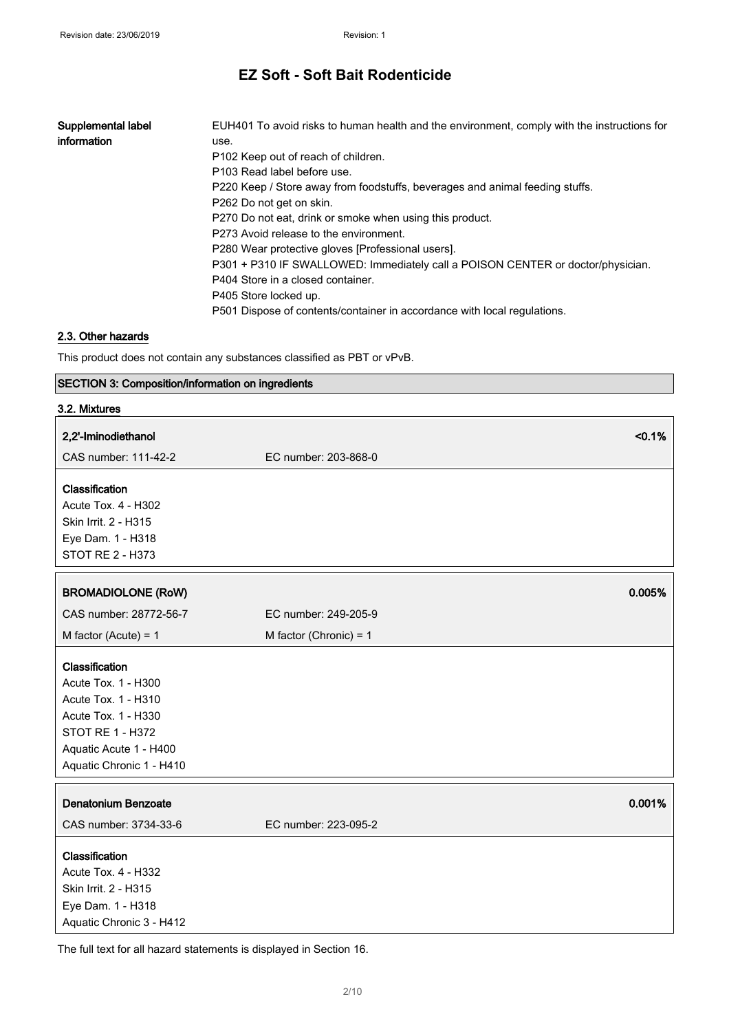| Supplemental label | EUH401 To avoid risks to human health and the environment, comply with the instructions for |
|--------------------|---------------------------------------------------------------------------------------------|
| information        | use.                                                                                        |
|                    | P <sub>102</sub> Keep out of reach of children.                                             |
|                    | P103 Read label before use.                                                                 |
|                    | P220 Keep / Store away from foodstuffs, beverages and animal feeding stuffs.                |
|                    | P262 Do not get on skin.                                                                    |
|                    | P270 Do not eat, drink or smoke when using this product.                                    |
|                    | P273 Avoid release to the environment.                                                      |
|                    | P280 Wear protective gloves (Professional users).                                           |
|                    | P301 + P310 IF SWALLOWED: Immediately call a POISON CENTER or doctor/physician.             |
|                    | P404 Store in a closed container.                                                           |
|                    | P405 Store locked up.                                                                       |
|                    | P501 Dispose of contents/container in accordance with local regulations.                    |

#### 2.3. Other hazards

This product does not contain any substances classified as PBT or vPvB.

#### SECTION 3: Composition/information on ingredients

| 3.2. Mixtures                                                                                                                                                 |                          |
|---------------------------------------------------------------------------------------------------------------------------------------------------------------|--------------------------|
| 2,2'-Iminodiethanol                                                                                                                                           | < 0.1%                   |
| CAS number: 111-42-2                                                                                                                                          | EC number: 203-868-0     |
| Classification                                                                                                                                                |                          |
| <b>Acute Tox. 4 - H302</b>                                                                                                                                    |                          |
| Skin Irrit. 2 - H315                                                                                                                                          |                          |
| Eye Dam. 1 - H318                                                                                                                                             |                          |
| STOT RE 2 - H373                                                                                                                                              |                          |
| <b>BROMADIOLONE (RoW)</b>                                                                                                                                     | 0.005%                   |
|                                                                                                                                                               |                          |
| CAS number: 28772-56-7                                                                                                                                        | EC number: 249-205-9     |
| M factor (Acute) = $1$                                                                                                                                        | M factor (Chronic) = $1$ |
| Classification<br>Acute Tox. 1 - H300<br>Acute Tox. 1 - H310<br>Acute Tox. 1 - H330<br>STOT RE 1 - H372<br>Aquatic Acute 1 - H400<br>Aquatic Chronic 1 - H410 |                          |
| Denatonium Benzoate                                                                                                                                           | 0.001%                   |
| CAS number: 3734-33-6                                                                                                                                         | EC number: 223-095-2     |
| Classification<br>Acute Tox. 4 - H332<br>Skin Irrit. 2 - H315<br>Eye Dam. 1 - H318<br>Aquatic Chronic 3 - H412                                                |                          |

The full text for all hazard statements is displayed in Section 16.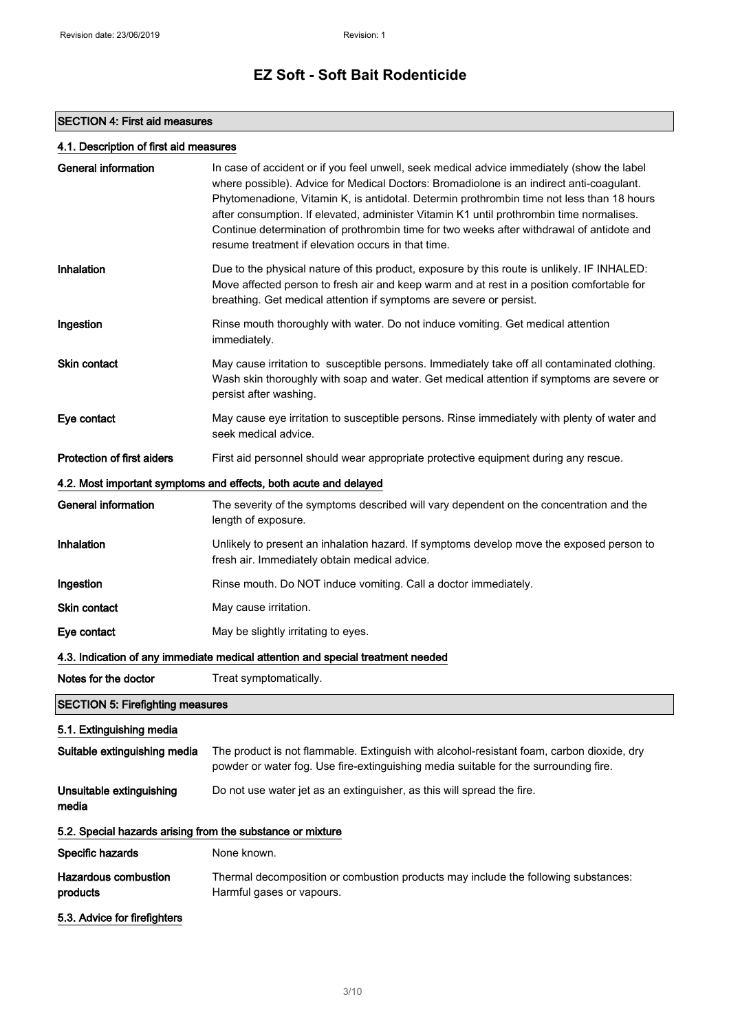#### SECTION 4: First aid measures

#### 4.1. Description of first aid measures

| <b>General information</b>                                 | In case of accident or if you feel unwell, seek medical advice immediately (show the label<br>where possible). Advice for Medical Doctors: Bromadiolone is an indirect anti-coagulant.<br>Phytomenadione, Vitamin K, is antidotal. Determin prothrombin time not less than 18 hours<br>after consumption. If elevated, administer Vitamin K1 until prothrombin time normalises.<br>Continue determination of prothrombin time for two weeks after withdrawal of antidote and<br>resume treatment if elevation occurs in that time. |  |  |
|------------------------------------------------------------|------------------------------------------------------------------------------------------------------------------------------------------------------------------------------------------------------------------------------------------------------------------------------------------------------------------------------------------------------------------------------------------------------------------------------------------------------------------------------------------------------------------------------------|--|--|
| Inhalation                                                 | Due to the physical nature of this product, exposure by this route is unlikely. IF INHALED:<br>Move affected person to fresh air and keep warm and at rest in a position comfortable for<br>breathing. Get medical attention if symptoms are severe or persist.                                                                                                                                                                                                                                                                    |  |  |
| Ingestion                                                  | Rinse mouth thoroughly with water. Do not induce vomiting. Get medical attention<br>immediately.                                                                                                                                                                                                                                                                                                                                                                                                                                   |  |  |
| Skin contact                                               | May cause irritation to susceptible persons. Immediately take off all contaminated clothing.<br>Wash skin thoroughly with soap and water. Get medical attention if symptoms are severe or<br>persist after washing.                                                                                                                                                                                                                                                                                                                |  |  |
| Eye contact                                                | May cause eye irritation to susceptible persons. Rinse immediately with plenty of water and<br>seek medical advice.                                                                                                                                                                                                                                                                                                                                                                                                                |  |  |
| <b>Protection of first aiders</b>                          | First aid personnel should wear appropriate protective equipment during any rescue.                                                                                                                                                                                                                                                                                                                                                                                                                                                |  |  |
|                                                            | 4.2. Most important symptoms and effects, both acute and delayed                                                                                                                                                                                                                                                                                                                                                                                                                                                                   |  |  |
| <b>General information</b>                                 | The severity of the symptoms described will vary dependent on the concentration and the<br>length of exposure.                                                                                                                                                                                                                                                                                                                                                                                                                     |  |  |
| Inhalation                                                 | Unlikely to present an inhalation hazard. If symptoms develop move the exposed person to<br>fresh air. Immediately obtain medical advice.                                                                                                                                                                                                                                                                                                                                                                                          |  |  |
| Ingestion                                                  | Rinse mouth. Do NOT induce vomiting. Call a doctor immediately.                                                                                                                                                                                                                                                                                                                                                                                                                                                                    |  |  |
| <b>Skin contact</b>                                        | May cause irritation.                                                                                                                                                                                                                                                                                                                                                                                                                                                                                                              |  |  |
| Eye contact                                                | May be slightly irritating to eyes.                                                                                                                                                                                                                                                                                                                                                                                                                                                                                                |  |  |
|                                                            | 4.3. Indication of any immediate medical attention and special treatment needed                                                                                                                                                                                                                                                                                                                                                                                                                                                    |  |  |
| Notes for the doctor                                       | Treat symptomatically.                                                                                                                                                                                                                                                                                                                                                                                                                                                                                                             |  |  |
| <b>SECTION 5: Firefighting measures</b>                    |                                                                                                                                                                                                                                                                                                                                                                                                                                                                                                                                    |  |  |
| 5.1. Extinguishing media                                   |                                                                                                                                                                                                                                                                                                                                                                                                                                                                                                                                    |  |  |
| Suitable extinguishing media                               | The product is not flammable. Extinguish with alcohol-resistant foam, carbon dioxide, dry<br>powder or water fog. Use fire-extinguishing media suitable for the surrounding fire.                                                                                                                                                                                                                                                                                                                                                  |  |  |
| Unsuitable extinguishing<br>media                          | Do not use water jet as an extinguisher, as this will spread the fire.                                                                                                                                                                                                                                                                                                                                                                                                                                                             |  |  |
| 5.2. Special hazards arising from the substance or mixture |                                                                                                                                                                                                                                                                                                                                                                                                                                                                                                                                    |  |  |
| Specific hazards                                           | None known.                                                                                                                                                                                                                                                                                                                                                                                                                                                                                                                        |  |  |
| <b>Hazardous combustion</b><br>products                    | Thermal decomposition or combustion products may include the following substances:<br>Harmful gases or vapours.                                                                                                                                                                                                                                                                                                                                                                                                                    |  |  |
| 5.3. Advice for firefighters                               |                                                                                                                                                                                                                                                                                                                                                                                                                                                                                                                                    |  |  |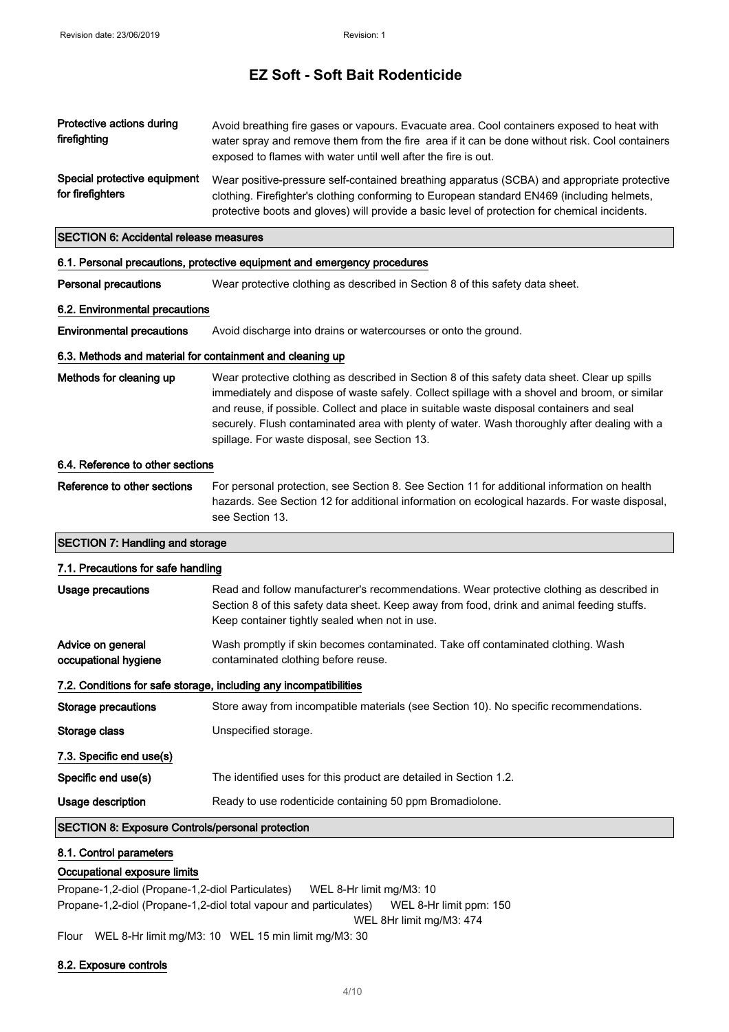| Protective actions during<br>firefighting                                                                   | Avoid breathing fire gases or vapours. Evacuate area. Cool containers exposed to heat with<br>water spray and remove them from the fire area if it can be done without risk. Cool containers<br>exposed to flames with water until well after the fire is out.                                                                                                                                                                              |  |  |  |
|-------------------------------------------------------------------------------------------------------------|---------------------------------------------------------------------------------------------------------------------------------------------------------------------------------------------------------------------------------------------------------------------------------------------------------------------------------------------------------------------------------------------------------------------------------------------|--|--|--|
| Special protective equipment<br>for firefighters                                                            | Wear positive-pressure self-contained breathing apparatus (SCBA) and appropriate protective<br>clothing. Firefighter's clothing conforming to European standard EN469 (including helmets,<br>protective boots and gloves) will provide a basic level of protection for chemical incidents.                                                                                                                                                  |  |  |  |
| <b>SECTION 6: Accidental release measures</b>                                                               |                                                                                                                                                                                                                                                                                                                                                                                                                                             |  |  |  |
|                                                                                                             | 6.1. Personal precautions, protective equipment and emergency procedures                                                                                                                                                                                                                                                                                                                                                                    |  |  |  |
| <b>Personal precautions</b>                                                                                 | Wear protective clothing as described in Section 8 of this safety data sheet.                                                                                                                                                                                                                                                                                                                                                               |  |  |  |
| 6.2. Environmental precautions                                                                              |                                                                                                                                                                                                                                                                                                                                                                                                                                             |  |  |  |
| <b>Environmental precautions</b>                                                                            | Avoid discharge into drains or watercourses or onto the ground.                                                                                                                                                                                                                                                                                                                                                                             |  |  |  |
| 6.3. Methods and material for containment and cleaning up                                                   |                                                                                                                                                                                                                                                                                                                                                                                                                                             |  |  |  |
| Methods for cleaning up                                                                                     | Wear protective clothing as described in Section 8 of this safety data sheet. Clear up spills<br>immediately and dispose of waste safely. Collect spillage with a shovel and broom, or similar<br>and reuse, if possible. Collect and place in suitable waste disposal containers and seal<br>securely. Flush contaminated area with plenty of water. Wash thoroughly after dealing with a<br>spillage. For waste disposal, see Section 13. |  |  |  |
| 6.4. Reference to other sections                                                                            |                                                                                                                                                                                                                                                                                                                                                                                                                                             |  |  |  |
| Reference to other sections                                                                                 | For personal protection, see Section 8. See Section 11 for additional information on health<br>hazards. See Section 12 for additional information on ecological hazards. For waste disposal,<br>see Section 13.                                                                                                                                                                                                                             |  |  |  |
| <b>SECTION 7: Handling and storage</b>                                                                      |                                                                                                                                                                                                                                                                                                                                                                                                                                             |  |  |  |
| 7.1. Precautions for safe handling                                                                          |                                                                                                                                                                                                                                                                                                                                                                                                                                             |  |  |  |
| <b>Usage precautions</b>                                                                                    | Read and follow manufacturer's recommendations. Wear protective clothing as described in<br>Section 8 of this safety data sheet. Keep away from food, drink and animal feeding stuffs.<br>Keep container tightly sealed when not in use.                                                                                                                                                                                                    |  |  |  |
| Advice on general<br>occupational hygiene                                                                   | Wash promptly if skin becomes contaminated. Take off contaminated clothing. Wash<br>contaminated clothing before reuse.                                                                                                                                                                                                                                                                                                                     |  |  |  |
|                                                                                                             | 7.2. Conditions for safe storage, including any incompatibilities                                                                                                                                                                                                                                                                                                                                                                           |  |  |  |
| Storage precautions                                                                                         | Store away from incompatible materials (see Section 10). No specific recommendations.                                                                                                                                                                                                                                                                                                                                                       |  |  |  |
| Storage class                                                                                               | Unspecified storage.                                                                                                                                                                                                                                                                                                                                                                                                                        |  |  |  |
| 7.3. Specific end use(s)                                                                                    |                                                                                                                                                                                                                                                                                                                                                                                                                                             |  |  |  |
| Specific end use(s)                                                                                         | The identified uses for this product are detailed in Section 1.2.                                                                                                                                                                                                                                                                                                                                                                           |  |  |  |
| Usage description                                                                                           | Ready to use rodenticide containing 50 ppm Bromadiolone.                                                                                                                                                                                                                                                                                                                                                                                    |  |  |  |
| <b>SECTION 8: Exposure Controls/personal protection</b>                                                     |                                                                                                                                                                                                                                                                                                                                                                                                                                             |  |  |  |
| 8.1. Control parameters<br>Occupational exposure limits<br>Propane-1,2-diol (Propane-1,2-diol Particulates) | WEL 8-Hr limit mg/M3: 10                                                                                                                                                                                                                                                                                                                                                                                                                    |  |  |  |

Propane-1,2-diol (Propane-1,2-diol total vapour and particulates) WEL 8-Hr limit ppm: 150 WEL 8Hr limit mg/M3: 474

Flour WEL 8-Hr limit mg/M3: 10 WEL 15 min limit mg/M3: 30

#### 8.2. Exposure controls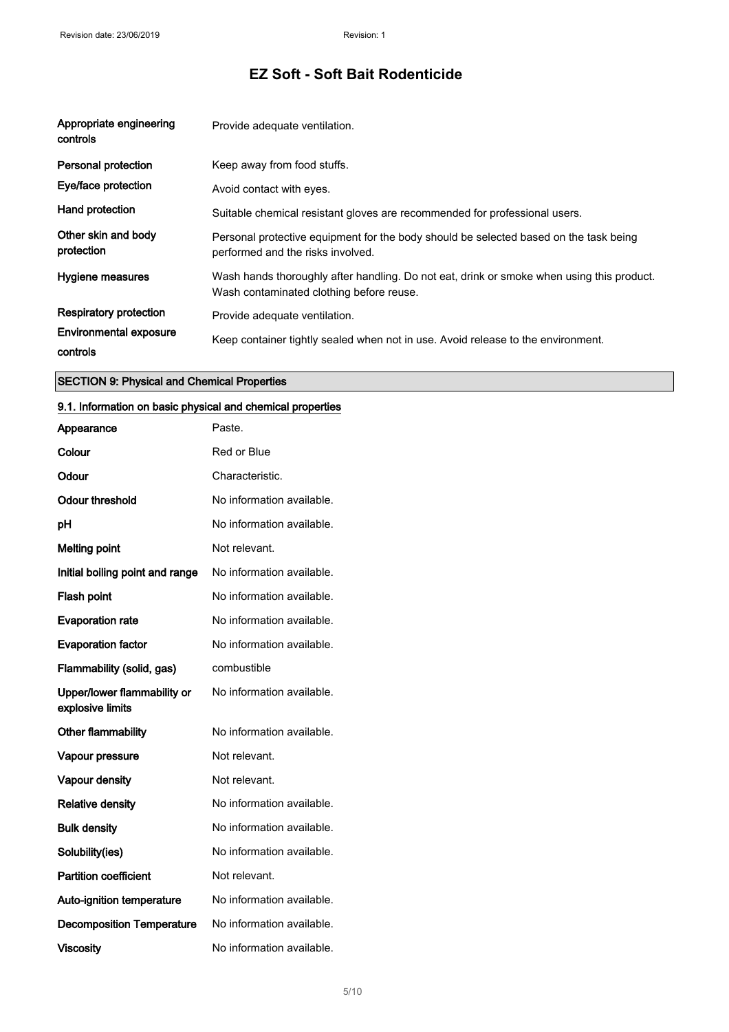| Appropriate engineering<br>controls       | Provide adequate ventilation.                                                                                                         |
|-------------------------------------------|---------------------------------------------------------------------------------------------------------------------------------------|
| <b>Personal protection</b>                | Keep away from food stuffs.                                                                                                           |
| Eye/face protection                       | Avoid contact with eyes.                                                                                                              |
| Hand protection                           | Suitable chemical resistant gloves are recommended for professional users.                                                            |
| Other skin and body<br>protection         | Personal protective equipment for the body should be selected based on the task being<br>performed and the risks involved.            |
| <b>Hygiene measures</b>                   | Wash hands thoroughly after handling. Do not eat, drink or smoke when using this product.<br>Wash contaminated clothing before reuse. |
| <b>Respiratory protection</b>             | Provide adequate ventilation.                                                                                                         |
| <b>Environmental exposure</b><br>controls | Keep container tightly sealed when not in use. Avoid release to the environment.                                                      |

#### SECTION 9: Physical and Chemical Properties

#### 9.1. Information on basic physical and chemical properties

| Appearance                                      | Paste.                    |
|-------------------------------------------------|---------------------------|
| Colour                                          | Red or Blue               |
| Odour                                           | Characteristic.           |
| <b>Odour threshold</b>                          | No information available. |
| рH                                              | No information available. |
| <b>Melting point</b>                            | Not relevant.             |
| Initial boiling point and range                 | No information available. |
| Flash point                                     | No information available. |
| <b>Evaporation rate</b>                         | No information available. |
| <b>Evaporation factor</b>                       | No information available. |
| Flammability (solid, gas)                       | combustible               |
| Upper/lower flammability or<br>explosive limits | No information available. |
| Other flammability                              | No information available. |
| Vapour pressure                                 | Not relevant.             |
| Vapour density                                  | Not relevant.             |
| <b>Relative density</b>                         | No information available. |
| <b>Bulk density</b>                             | No information available. |
| Solubility(ies)                                 | No information available. |
| <b>Partition coefficient</b>                    | Not relevant.             |
| Auto-ignition temperature                       | No information available. |
| <b>Decomposition Temperature</b>                | No information available. |
| <b>Viscosity</b>                                | No information available. |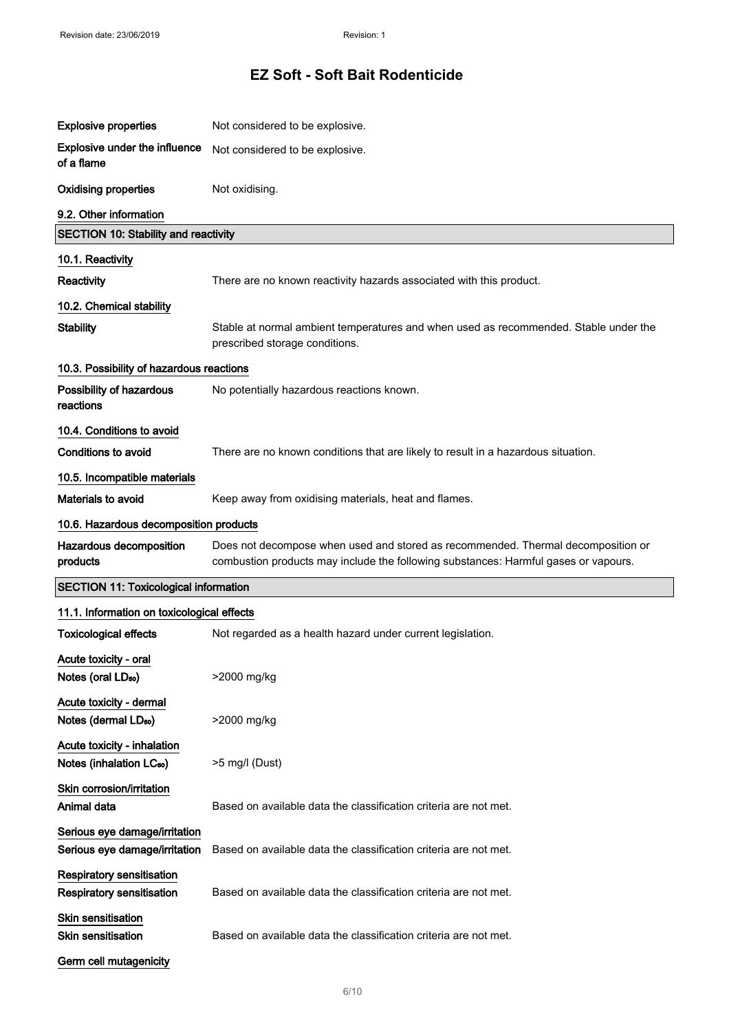| <b>Explosive properties</b>                                          | Not considered to be explosive.                                                                                                                                         |  |  |  |
|----------------------------------------------------------------------|-------------------------------------------------------------------------------------------------------------------------------------------------------------------------|--|--|--|
| <b>Explosive under the influence</b><br>of a flame                   | Not considered to be explosive.                                                                                                                                         |  |  |  |
| <b>Oxidising properties</b>                                          | Not oxidising.                                                                                                                                                          |  |  |  |
| 9.2. Other information                                               |                                                                                                                                                                         |  |  |  |
| <b>SECTION 10: Stability and reactivity</b>                          |                                                                                                                                                                         |  |  |  |
| 10.1. Reactivity                                                     |                                                                                                                                                                         |  |  |  |
| Reactivity                                                           | There are no known reactivity hazards associated with this product.                                                                                                     |  |  |  |
| 10.2. Chemical stability                                             |                                                                                                                                                                         |  |  |  |
| <b>Stability</b>                                                     | Stable at normal ambient temperatures and when used as recommended. Stable under the<br>prescribed storage conditions.                                                  |  |  |  |
| 10.3. Possibility of hazardous reactions                             |                                                                                                                                                                         |  |  |  |
| Possibility of hazardous<br>reactions                                | No potentially hazardous reactions known.                                                                                                                               |  |  |  |
| 10.4. Conditions to avoid                                            |                                                                                                                                                                         |  |  |  |
| Conditions to avoid                                                  | There are no known conditions that are likely to result in a hazardous situation.                                                                                       |  |  |  |
| 10.5. Incompatible materials                                         |                                                                                                                                                                         |  |  |  |
| Materials to avoid                                                   | Keep away from oxidising materials, heat and flames.                                                                                                                    |  |  |  |
| 10.6. Hazardous decomposition products                               |                                                                                                                                                                         |  |  |  |
| Hazardous decomposition<br>products                                  | Does not decompose when used and stored as recommended. Thermal decomposition or<br>combustion products may include the following substances: Harmful gases or vapours. |  |  |  |
| <b>SECTION 11: Toxicological information</b>                         |                                                                                                                                                                         |  |  |  |
| 11.1. Information on toxicological effects                           |                                                                                                                                                                         |  |  |  |
| <b>Toxicological effects</b>                                         | Not regarded as a health hazard under current legislation.                                                                                                              |  |  |  |
| Acute toxicity - oral<br>Notes (oral LD <sub>50</sub> )              | >2000 mg/kg                                                                                                                                                             |  |  |  |
| Acute toxicity - dermal<br>Notes (dermal LD <sub>50</sub> )          | >2000 mg/kg                                                                                                                                                             |  |  |  |
| Acute toxicity - inhalation<br>Notes (inhalation LC <sub>50</sub> )  | >5 mg/l (Dust)                                                                                                                                                          |  |  |  |
| Skin corrosion/irritation<br>Animal data                             | Based on available data the classification criteria are not met.                                                                                                        |  |  |  |
| Serious eye damage/irritation<br>Serious eye damage/irritation       | Based on available data the classification criteria are not met.                                                                                                        |  |  |  |
| <b>Respiratory sensitisation</b><br><b>Respiratory sensitisation</b> | Based on available data the classification criteria are not met.                                                                                                        |  |  |  |
| Skin sensitisation<br><b>Skin sensitisation</b>                      | Based on available data the classification criteria are not met.                                                                                                        |  |  |  |
| Germ cell mutagenicity                                               |                                                                                                                                                                         |  |  |  |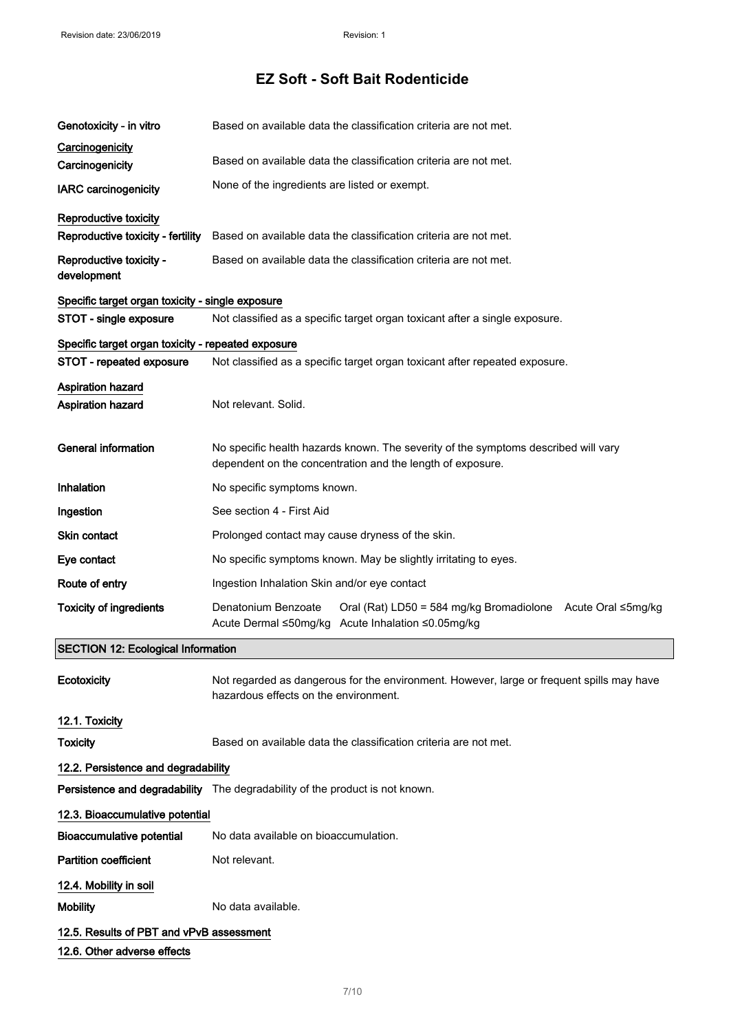| Genotoxicity - in vitro                            | Based on available data the classification criteria are not met.                                                                                 |  |  |
|----------------------------------------------------|--------------------------------------------------------------------------------------------------------------------------------------------------|--|--|
| Carcinogenicity<br>Carcinogenicity                 | Based on available data the classification criteria are not met.                                                                                 |  |  |
| <b>IARC</b> carcinogenicity                        | None of the ingredients are listed or exempt.                                                                                                    |  |  |
| Reproductive toxicity                              |                                                                                                                                                  |  |  |
| Reproductive toxicity - fertility                  | Based on available data the classification criteria are not met.                                                                                 |  |  |
| Reproductive toxicity -<br>development             | Based on available data the classification criteria are not met.                                                                                 |  |  |
| Specific target organ toxicity - single exposure   |                                                                                                                                                  |  |  |
| STOT - single exposure                             | Not classified as a specific target organ toxicant after a single exposure.                                                                      |  |  |
| Specific target organ toxicity - repeated exposure |                                                                                                                                                  |  |  |
| STOT - repeated exposure                           | Not classified as a specific target organ toxicant after repeated exposure.                                                                      |  |  |
| <b>Aspiration hazard</b>                           |                                                                                                                                                  |  |  |
| <b>Aspiration hazard</b>                           | Not relevant. Solid.                                                                                                                             |  |  |
| <b>General information</b>                         | No specific health hazards known. The severity of the symptoms described will vary<br>dependent on the concentration and the length of exposure. |  |  |
| <b>Inhalation</b>                                  | No specific symptoms known.                                                                                                                      |  |  |
| Ingestion                                          | See section 4 - First Aid                                                                                                                        |  |  |
| Skin contact                                       | Prolonged contact may cause dryness of the skin.                                                                                                 |  |  |
| Eye contact                                        | No specific symptoms known. May be slightly irritating to eyes.                                                                                  |  |  |
| Route of entry                                     | Ingestion Inhalation Skin and/or eye contact                                                                                                     |  |  |
| <b>Toxicity of ingredients</b>                     | Denatonium Benzoate<br>Oral (Rat) LD50 = 584 mg/kg Bromadiolone Acute Oral ≤5mg/kg<br>Acute Dermal ≤50mg/kg Acute Inhalation ≤0.05mg/kg          |  |  |
| <b>SECTION 12: Ecological Information</b>          |                                                                                                                                                  |  |  |
| Ecotoxicity                                        | Not regarded as dangerous for the environment. However, large or frequent spills may have<br>hazardous effects on the environment.               |  |  |
| 12.1. Toxicity                                     |                                                                                                                                                  |  |  |
| <b>Toxicity</b>                                    | Based on available data the classification criteria are not met.                                                                                 |  |  |
| 12.2. Persistence and degradability                |                                                                                                                                                  |  |  |
|                                                    | Persistence and degradability The degradability of the product is not known.                                                                     |  |  |
| 12.3. Bioaccumulative potential                    |                                                                                                                                                  |  |  |
| <b>Bioaccumulative potential</b>                   | No data available on bioaccumulation.                                                                                                            |  |  |
| <b>Partition coefficient</b>                       | Not relevant.                                                                                                                                    |  |  |
| 12.4. Mobility in soil                             |                                                                                                                                                  |  |  |
| <b>Mobility</b>                                    | No data available.                                                                                                                               |  |  |
| 12.5. Results of PBT and vPvB assessment           |                                                                                                                                                  |  |  |
| 12.6. Other adverse effects                        |                                                                                                                                                  |  |  |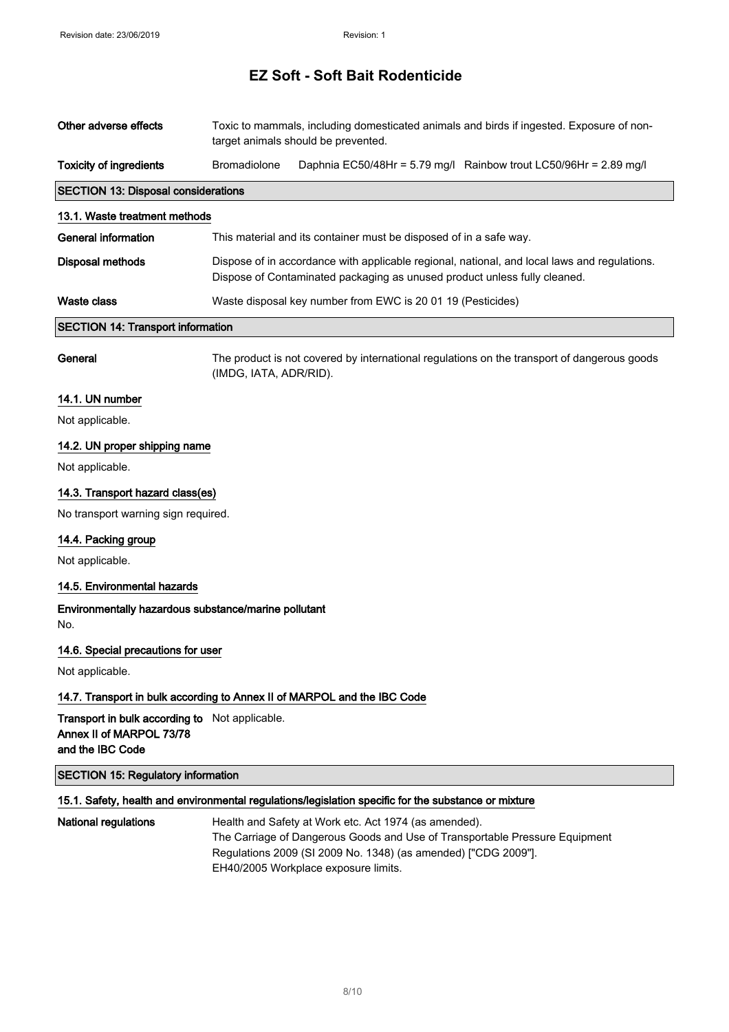| Other adverse effects                                                                                 | Toxic to mammals, including domesticated animals and birds if ingested. Exposure of non-<br>target animals should be prevented.                                           |                                                                                                                                                                                                                                                |                                                                                             |
|-------------------------------------------------------------------------------------------------------|---------------------------------------------------------------------------------------------------------------------------------------------------------------------------|------------------------------------------------------------------------------------------------------------------------------------------------------------------------------------------------------------------------------------------------|---------------------------------------------------------------------------------------------|
| <b>Toxicity of ingredients</b>                                                                        | Bromadiolone                                                                                                                                                              |                                                                                                                                                                                                                                                | Daphnia EC50/48Hr = 5.79 mg/l Rainbow trout LC50/96Hr = 2.89 mg/l                           |
| <b>SECTION 13: Disposal considerations</b>                                                            |                                                                                                                                                                           |                                                                                                                                                                                                                                                |                                                                                             |
| 13.1. Waste treatment methods                                                                         |                                                                                                                                                                           |                                                                                                                                                                                                                                                |                                                                                             |
| <b>General information</b>                                                                            |                                                                                                                                                                           | This material and its container must be disposed of in a safe way.                                                                                                                                                                             |                                                                                             |
| <b>Disposal methods</b>                                                                               | Dispose of in accordance with applicable regional, national, and local laws and regulations.<br>Dispose of Contaminated packaging as unused product unless fully cleaned. |                                                                                                                                                                                                                                                |                                                                                             |
| <b>Waste class</b>                                                                                    | Waste disposal key number from EWC is 20 01 19 (Pesticides)                                                                                                               |                                                                                                                                                                                                                                                |                                                                                             |
| <b>SECTION 14: Transport information</b>                                                              |                                                                                                                                                                           |                                                                                                                                                                                                                                                |                                                                                             |
| General                                                                                               | (IMDG, IATA, ADR/RID).                                                                                                                                                    |                                                                                                                                                                                                                                                | The product is not covered by international regulations on the transport of dangerous goods |
| 14.1. UN number                                                                                       |                                                                                                                                                                           |                                                                                                                                                                                                                                                |                                                                                             |
| Not applicable.                                                                                       |                                                                                                                                                                           |                                                                                                                                                                                                                                                |                                                                                             |
| 14.2. UN proper shipping name                                                                         |                                                                                                                                                                           |                                                                                                                                                                                                                                                |                                                                                             |
| Not applicable.                                                                                       |                                                                                                                                                                           |                                                                                                                                                                                                                                                |                                                                                             |
| 14.3. Transport hazard class(es)                                                                      |                                                                                                                                                                           |                                                                                                                                                                                                                                                |                                                                                             |
| No transport warning sign required.                                                                   |                                                                                                                                                                           |                                                                                                                                                                                                                                                |                                                                                             |
| 14.4. Packing group                                                                                   |                                                                                                                                                                           |                                                                                                                                                                                                                                                |                                                                                             |
| Not applicable.                                                                                       |                                                                                                                                                                           |                                                                                                                                                                                                                                                |                                                                                             |
| 14.5. Environmental hazards                                                                           |                                                                                                                                                                           |                                                                                                                                                                                                                                                |                                                                                             |
| Environmentally hazardous substance/marine pollutant<br>No.                                           |                                                                                                                                                                           |                                                                                                                                                                                                                                                |                                                                                             |
| 14.6. Special precautions for user                                                                    |                                                                                                                                                                           |                                                                                                                                                                                                                                                |                                                                                             |
| Not applicable.                                                                                       |                                                                                                                                                                           |                                                                                                                                                                                                                                                |                                                                                             |
| 14.7. Transport in bulk according to Annex II of MARPOL and the IBC Code                              |                                                                                                                                                                           |                                                                                                                                                                                                                                                |                                                                                             |
| <b>Transport in bulk according to</b> Not applicable.<br>Annex II of MARPOL 73/78<br>and the IBC Code |                                                                                                                                                                           |                                                                                                                                                                                                                                                |                                                                                             |
| <b>SECTION 15: Regulatory information</b>                                                             |                                                                                                                                                                           |                                                                                                                                                                                                                                                |                                                                                             |
|                                                                                                       |                                                                                                                                                                           | 15.1. Safety, health and environmental regulations/legislation specific for the substance or mixture                                                                                                                                           |                                                                                             |
| <b>National regulations</b>                                                                           |                                                                                                                                                                           | Health and Safety at Work etc. Act 1974 (as amended).<br>The Carriage of Dangerous Goods and Use of Transportable Pressure Equipment<br>Regulations 2009 (SI 2009 No. 1348) (as amended) ["CDG 2009"].<br>EH40/2005 Workplace exposure limits. |                                                                                             |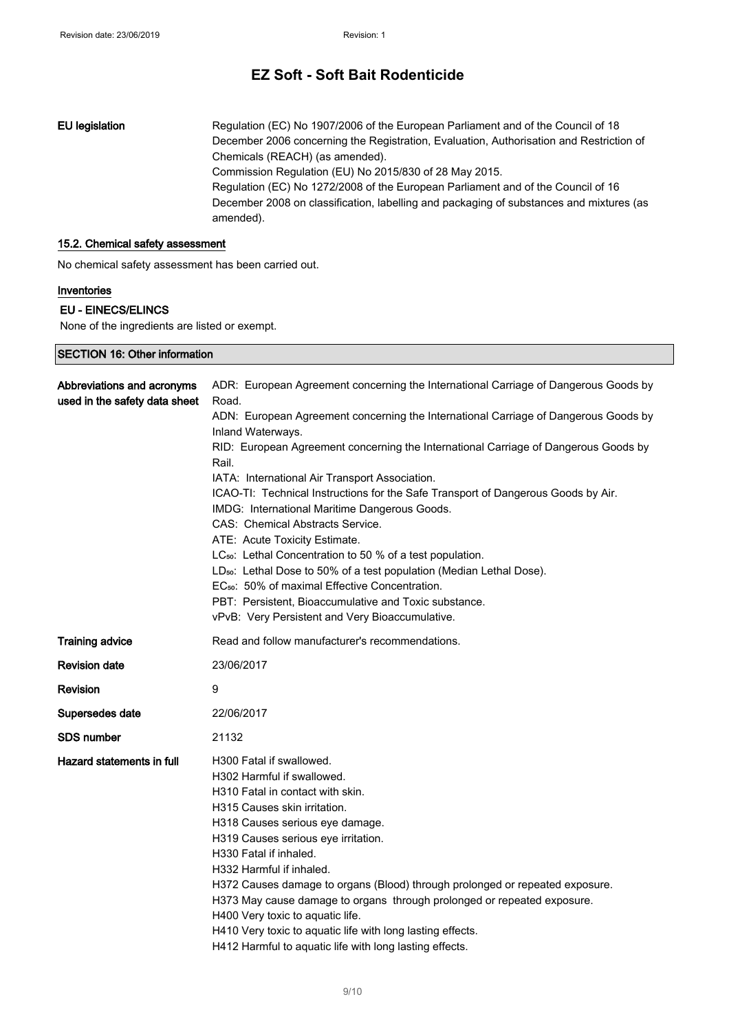EU legislation Regulation (EC) No 1907/2006 of the European Parliament and of the Council of 18 December 2006 concerning the Registration, Evaluation, Authorisation and Restriction of Chemicals (REACH) (as amended). Commission Regulation (EU) No 2015/830 of 28 May 2015. Regulation (EC) No 1272/2008 of the European Parliament and of the Council of 16 December 2008 on classification, labelling and packaging of substances and mixtures (as amended).

#### 15.2. Chemical safety assessment

No chemical safety assessment has been carried out.

#### Inventories

#### EU - EINECS/ELINCS

SECTION 16: Other information

None of the ingredients are listed or exempt.

| Abbreviations and acronyms<br>used in the safety data sheet | ADR: European Agreement concerning the International Carriage of Dangerous Goods by<br>Road.<br>ADN: European Agreement concerning the International Carriage of Dangerous Goods by<br>Inland Waterways.<br>RID: European Agreement concerning the International Carriage of Dangerous Goods by<br>Rail.<br>IATA: International Air Transport Association.<br>ICAO-TI: Technical Instructions for the Safe Transport of Dangerous Goods by Air.<br>IMDG: International Maritime Dangerous Goods.<br>CAS: Chemical Abstracts Service.<br>ATE: Acute Toxicity Estimate.<br>LC <sub>50</sub> : Lethal Concentration to 50 % of a test population.<br>LD <sub>50</sub> : Lethal Dose to 50% of a test population (Median Lethal Dose).<br>EC <sub>50</sub> : 50% of maximal Effective Concentration.<br>PBT: Persistent, Bioaccumulative and Toxic substance.<br>vPvB: Very Persistent and Very Bioaccumulative. |
|-------------------------------------------------------------|--------------------------------------------------------------------------------------------------------------------------------------------------------------------------------------------------------------------------------------------------------------------------------------------------------------------------------------------------------------------------------------------------------------------------------------------------------------------------------------------------------------------------------------------------------------------------------------------------------------------------------------------------------------------------------------------------------------------------------------------------------------------------------------------------------------------------------------------------------------------------------------------------------------|
| <b>Training advice</b>                                      | Read and follow manufacturer's recommendations.                                                                                                                                                                                                                                                                                                                                                                                                                                                                                                                                                                                                                                                                                                                                                                                                                                                              |
| <b>Revision date</b>                                        | 23/06/2017                                                                                                                                                                                                                                                                                                                                                                                                                                                                                                                                                                                                                                                                                                                                                                                                                                                                                                   |
| <b>Revision</b>                                             | 9                                                                                                                                                                                                                                                                                                                                                                                                                                                                                                                                                                                                                                                                                                                                                                                                                                                                                                            |
| Supersedes date                                             | 22/06/2017                                                                                                                                                                                                                                                                                                                                                                                                                                                                                                                                                                                                                                                                                                                                                                                                                                                                                                   |
| <b>SDS</b> number                                           | 21132                                                                                                                                                                                                                                                                                                                                                                                                                                                                                                                                                                                                                                                                                                                                                                                                                                                                                                        |
| Hazard statements in full                                   | H300 Fatal if swallowed.<br>H302 Harmful if swallowed.<br>H310 Fatal in contact with skin.<br>H315 Causes skin irritation.<br>H318 Causes serious eye damage.<br>H319 Causes serious eye irritation.<br>H330 Fatal if inhaled.<br>H332 Harmful if inhaled.<br>H372 Causes damage to organs (Blood) through prolonged or repeated exposure.<br>H373 May cause damage to organs through prolonged or repeated exposure.<br>H400 Very toxic to aquatic life.<br>H410 Very toxic to aquatic life with long lasting effects.<br>H412 Harmful to aquatic life with long lasting effects.                                                                                                                                                                                                                                                                                                                           |